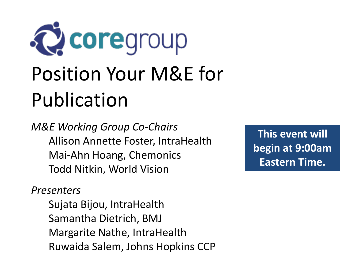

*M&E Working Group Co-Chairs* Allison Annette Foster, IntraHealth Mai-Ahn Hoang, Chemonics Todd Nitkin, World Vision

*Presenters*

Sujata Bijou, IntraHealth Samantha Dietrich, BMJ Margarite Nathe, IntraHealth Ruwaida Salem, Johns Hopkins CCP

**This event will begin at 9:00am Eastern Time.**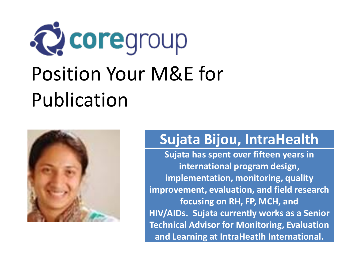

# Publication



#### **Sujata Bijou, IntraHealth**

**Sujata has spent over fifteen years in international program design, implementation, monitoring, quality improvement, evaluation, and field research focusing on RH, FP, MCH, and HIV/AIDs. Sujata currently works as a Senior Technical Advisor for Monitoring, Evaluation and Learning at IntraHeatlh International.**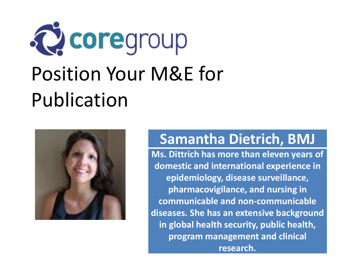



#### **Samantha Dietrich, BMJ**

**Ms. Dittrich has more than eleven years of domestic and international experience in epidemiology, disease surveillance, pharmacovigilance, and nursing in communicable and non-communicable diseases. She has an extensive background in global health security, public health, program management and clinical research.**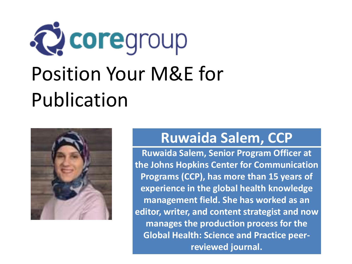

## Publication



#### **Ruwaida Salem, CCP**

**Ruwaida Salem, Senior Program Officer at the Johns Hopkins Center for Communication Programs (CCP), has more than 15 years of experience in the global health knowledge management field. She has worked as an editor, writer, and content strategist and now manages the production process for the Global Health: Science and Practice peerreviewed journal.**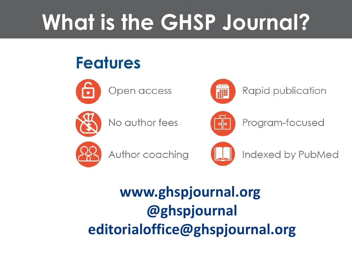# **What is the GHSP Journal?**

### **Features**



Open access



No author fees



Rapid publication



Program-focused



Author coaching



Indexed by PubMed

### **www.ghspjournal.org @ghspjournal editorialoffice@ghspjournal.org**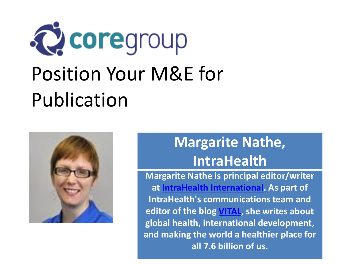

# Publication



### **Margarite Nathe, IntraHealth**

**Margarite Nathe is principal editor/writer at IntraHealth [International.](https://www.intrahealth.org/fr) As part of IntraHealth's communications team and editor of the blog [VITAL,](https://www.intrahealth.org/fr/blog) she writes about global health, international development, and making the world a healthier place for all 7.6 billion of us.**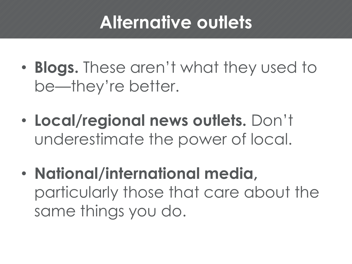### **Alternative outlets**

- **Blogs.** These aren't what they used to be—they're better.
- **Local/regional news outlets.** Don't underestimate the power of local.
- **National/international media,**  particularly those that care about the same things you do.